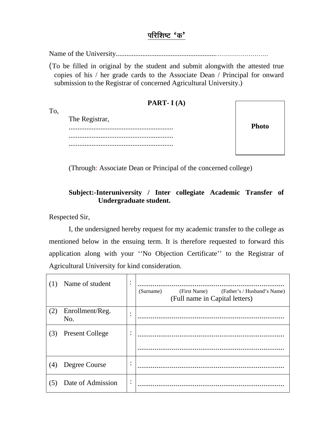### परिशिष्ट 'क'

(To be filled in original by the student and submit alongwith the attested true copies of his / her grade cards to the Associate Dean / Principal for onward submission to the Registrar of concerned Agricultural University.)

#### **PART-I(A)**

To,

The Registrar, 

**Photo** 

(Through: Associate Dean or Principal of the concerned college)

#### Subject:-Interuniversity / Inter collegiate Academic Transfer of Undergraduate student.

Respected Sir,

I, the undersigned hereby request for my academic transfer to the college as mentioned below in the ensuing term. It is therefore requested to forward this application along with your "No Objection Certificate" to the Registrar of Agricultural University for kind consideration.

| (1) | Name of student        | ٠<br>$\bullet$ | (First Name)<br>(Father's / Husband's Name)<br>(Surname)<br>(Full name in Capital letters) |
|-----|------------------------|----------------|--------------------------------------------------------------------------------------------|
| (2) | Enrollment/Reg.<br>No. | $\bullet$      |                                                                                            |
| (3) | <b>Present College</b> | $\bullet$      |                                                                                            |
| (4) | Degree Course          | ٠<br>$\bullet$ |                                                                                            |
| (5) | Date of Admission      | ٠              |                                                                                            |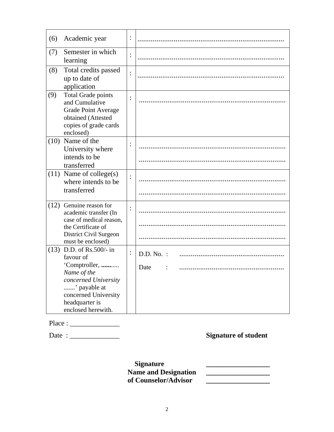| (6)  | Academic year                                                                                                                                                            | :              |                      |
|------|--------------------------------------------------------------------------------------------------------------------------------------------------------------------------|----------------|----------------------|
| (7)  | Semester in which<br>learning                                                                                                                                            | $\ddot{\cdot}$ |                      |
| (8)  | Total credits passed<br>up to date of<br>application                                                                                                                     | $\vdots$       |                      |
| (9)  | <b>Total Grade points</b><br>and Cumulative<br><b>Grade Point Average</b><br>obtained (Attested<br>copies of grade cards<br>enclosed)                                    | $\ddot{\cdot}$ |                      |
| (10) | Name of the<br>University where<br>intends to be<br>transferred                                                                                                          |                |                      |
|      | $(11)$ Name of college(s)<br>where intends to be<br>transferred                                                                                                          | $\ddot{\cdot}$ |                      |
| (12) | Genuine reason for<br>academic transfer (In<br>case of medical reason,<br>the Certificate of<br>District Civil Surgeon<br>must be enclosed)                              | $\ddot{\cdot}$ |                      |
| (13) | D.D. of Rs.500/- in<br>favour of<br>'Comptroller,<br>Name of the<br>concerned University<br>' payable at<br>concerned University<br>headquarter is<br>enclosed herewith. | $\ddot{\cdot}$ | $D.D. No.$ :<br>Date |

### Place : \_\_\_\_\_\_\_\_\_\_\_\_\_\_

Date : \_\_\_\_\_\_\_\_\_\_\_\_\_\_ **Signature of student** 

 **Signature \_\_\_\_\_\_\_\_\_\_\_\_\_\_\_\_\_\_**  Name and Designation <u>\_\_\_\_\_\_\_\_\_\_\_\_\_\_\_</u> of Counselor/Advisor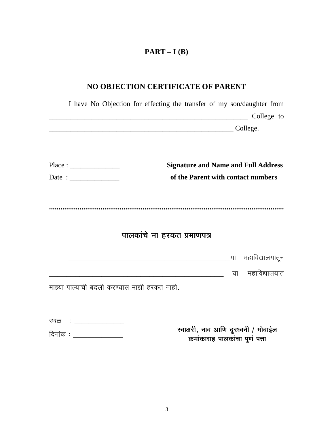# $PART-I(B)$

# NO OBJECTION CERTIFICATE OF PARENT

|      | I have No Objection for effecting the transfer of my son/daughter from |    |                             |
|------|------------------------------------------------------------------------|----|-----------------------------|
|      |                                                                        |    | College to                  |
|      | College.                                                               |    |                             |
|      |                                                                        |    |                             |
|      | <b>Signature and Name and Full Address</b>                             |    |                             |
|      | of the Parent with contact numbers                                     |    |                             |
|      |                                                                        |    |                             |
|      |                                                                        |    |                             |
|      |                                                                        |    |                             |
|      | पालकांचे ना हरकत प्रमाणपत्र                                            |    |                             |
|      |                                                                        |    | <u>.</u> या महाविद्यालयातून |
|      |                                                                        | या | महाविद्यालयात               |
|      | माझ्या पाल्याची बदली करण्यास माझी हरकत नाही.                           |    |                             |
|      |                                                                        |    |                             |
| स्थळ |                                                                        |    |                             |

| दिनांक ः | रवाक्षरी, नाव आणि दूरध्वनी / मोबाईल |
|----------|-------------------------------------|
|          | क्रमांकासह पालकांचा पूर्ण पत्ता     |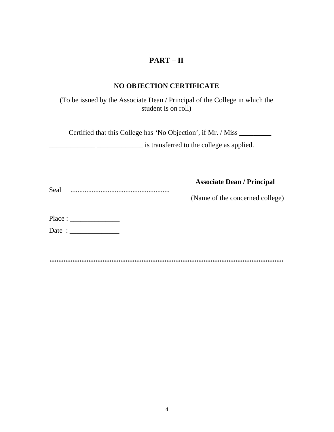### **PART – II**

#### **NO OBJECTION CERTIFICATE**

(To be issued by the Associate Dean / Principal of the College in which the student is on roll)

Certified that this College has 'No Objection', if Mr. / Miss \_\_\_\_\_\_\_\_\_

**EXECUTE:**  $\frac{1}{2}$  **EXECUTE:**  $\frac{1}{2}$  is transferred to the college as applied.

|      |  | <b>Associate Dean / Principal</b> |  |
|------|--|-----------------------------------|--|
| Seal |  |                                   |  |

(Name of the concerned college)

Place : \_\_\_\_\_\_\_\_\_\_\_\_\_\_

Date : \_\_\_\_\_\_\_\_\_\_\_\_\_\_

**....................................................................................................................................**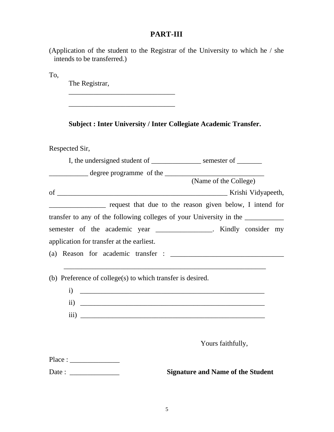## **PART-III**

| (Application of the student to the Registrar of the University to which he / she |  |  |  |  |  |
|----------------------------------------------------------------------------------|--|--|--|--|--|
| intends to be transferred.)                                                      |  |  |  |  |  |

To,

The Registrar,

\_\_\_\_\_\_\_\_\_\_\_\_\_\_\_\_\_\_\_\_\_\_\_\_\_\_\_\_\_\_

|  | <b>Subject: Inter University / Inter Collegiate Academic Transfer.</b> |
|--|------------------------------------------------------------------------|
|--|------------------------------------------------------------------------|

Respected Sir,

| Respected SII,                                                                                                                                                                                                                                                                                                                                                                                                                         |                                          |
|----------------------------------------------------------------------------------------------------------------------------------------------------------------------------------------------------------------------------------------------------------------------------------------------------------------------------------------------------------------------------------------------------------------------------------------|------------------------------------------|
| I, the undersigned student of ______________________ semester of _________                                                                                                                                                                                                                                                                                                                                                             |                                          |
|                                                                                                                                                                                                                                                                                                                                                                                                                                        |                                          |
|                                                                                                                                                                                                                                                                                                                                                                                                                                        | (Name of the College)                    |
|                                                                                                                                                                                                                                                                                                                                                                                                                                        |                                          |
| request that due to the reason given below, I intend for                                                                                                                                                                                                                                                                                                                                                                               |                                          |
| transfer to any of the following colleges of your University in the ____________                                                                                                                                                                                                                                                                                                                                                       |                                          |
| semester of the academic year _______________. Kindly consider my                                                                                                                                                                                                                                                                                                                                                                      |                                          |
| application for transfer at the earliest.                                                                                                                                                                                                                                                                                                                                                                                              |                                          |
|                                                                                                                                                                                                                                                                                                                                                                                                                                        |                                          |
|                                                                                                                                                                                                                                                                                                                                                                                                                                        |                                          |
| (b) Preference of college(s) to which transfer is desired.                                                                                                                                                                                                                                                                                                                                                                             |                                          |
|                                                                                                                                                                                                                                                                                                                                                                                                                                        |                                          |
| $\overline{\text{ii}}$ $\overline{\text{iii}}$                                                                                                                                                                                                                                                                                                                                                                                         |                                          |
| $\overline{\text{iii)}}$ $\overline{\phantom{}}$                                                                                                                                                                                                                                                                                                                                                                                       |                                          |
|                                                                                                                                                                                                                                                                                                                                                                                                                                        |                                          |
|                                                                                                                                                                                                                                                                                                                                                                                                                                        | Yours faithfully,                        |
|                                                                                                                                                                                                                                                                                                                                                                                                                                        |                                          |
| Date: $\frac{1}{\sqrt{1-\frac{1}{2}}}\cdot\frac{1}{\sqrt{1-\frac{1}{2}}}\cdot\frac{1}{\sqrt{1-\frac{1}{2}}}\cdot\frac{1}{\sqrt{1-\frac{1}{2}}}\cdot\frac{1}{\sqrt{1-\frac{1}{2}}}\cdot\frac{1}{\sqrt{1-\frac{1}{2}}}\cdot\frac{1}{\sqrt{1-\frac{1}{2}}}\cdot\frac{1}{\sqrt{1-\frac{1}{2}}}\cdot\frac{1}{\sqrt{1-\frac{1}{2}}}\cdot\frac{1}{\sqrt{1-\frac{1}{2}}}\cdot\frac{1}{\sqrt{1-\frac{1}{2}}}\cdot\frac{1}{\sqrt{1-\frac{1}{2}}$ | <b>Signature and Name of the Student</b> |